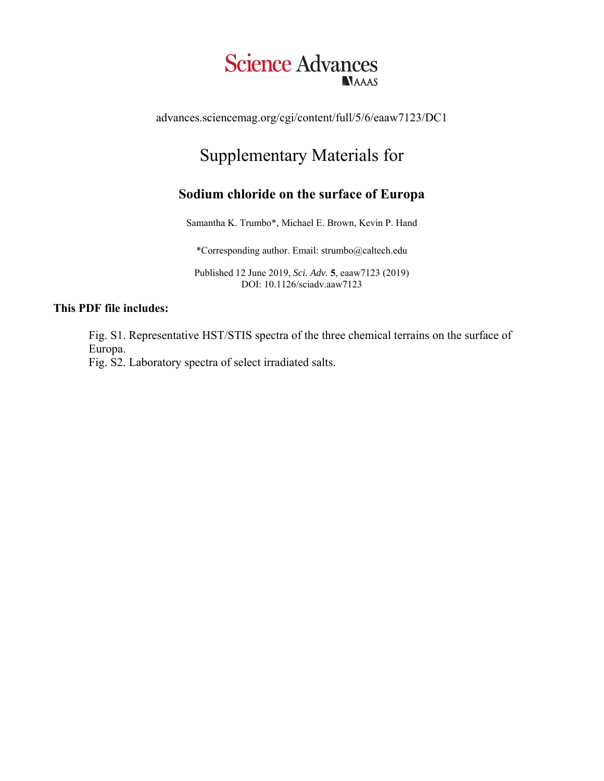## **Science Advances NAAAS**

advances.sciencemag.org/cgi/content/full/5/6/eaaw7123/DC1

## Supplementary Materials for

## **Sodium chloride on the surface of Europa**

Samantha K. Trumbo\*, Michael E. Brown, Kevin P. Hand

\*Corresponding author. Email: strumbo@caltech.edu

Published 12 June 2019, *Sci. Adv.* **5**, eaaw7123 (2019) DOI: 10.1126/sciadv.aaw7123

## **This PDF file includes:**

Fig. S1. Representative HST/STIS spectra of the three chemical terrains on the surface of Europa.

Fig. S2. Laboratory spectra of select irradiated salts.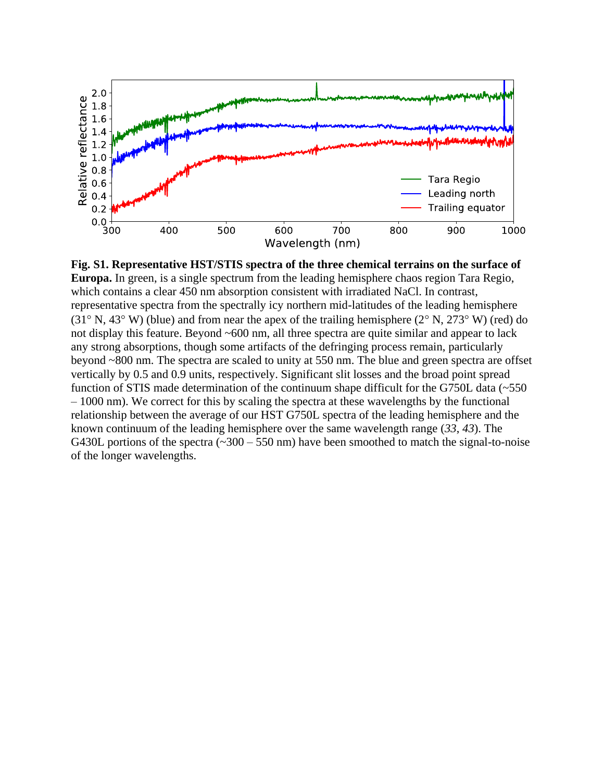

**Fig. S1. Representative HST/STIS spectra of the three chemical terrains on the surface of Europa.** In green, is a single spectrum from the leading hemisphere chaos region Tara Regio, which contains a clear 450 nm absorption consistent with irradiated NaCl. In contrast, representative spectra from the spectrally icy northern mid-latitudes of the leading hemisphere (31 $\degree$  N, 43 $\degree$  W) (blue) and from near the apex of the trailing hemisphere (2 $\degree$  N, 273 $\degree$  W) (red) do not display this feature. Beyond ~600 nm, all three spectra are quite similar and appear to lack any strong absorptions, though some artifacts of the defringing process remain, particularly beyond ~800 nm. The spectra are scaled to unity at 550 nm. The blue and green spectra are offset vertically by 0.5 and 0.9 units, respectively. Significant slit losses and the broad point spread function of STIS made determination of the continuum shape difficult for the G750L data (~550 – 1000 nm). We correct for this by scaling the spectra at these wavelengths by the functional relationship between the average of our HST G750L spectra of the leading hemisphere and the known continuum of the leading hemisphere over the same wavelength range (*33*, *43*). The G430L portions of the spectra  $(\sim 300 - 550 \text{ nm})$  have been smoothed to match the signal-to-noise of the longer wavelengths.